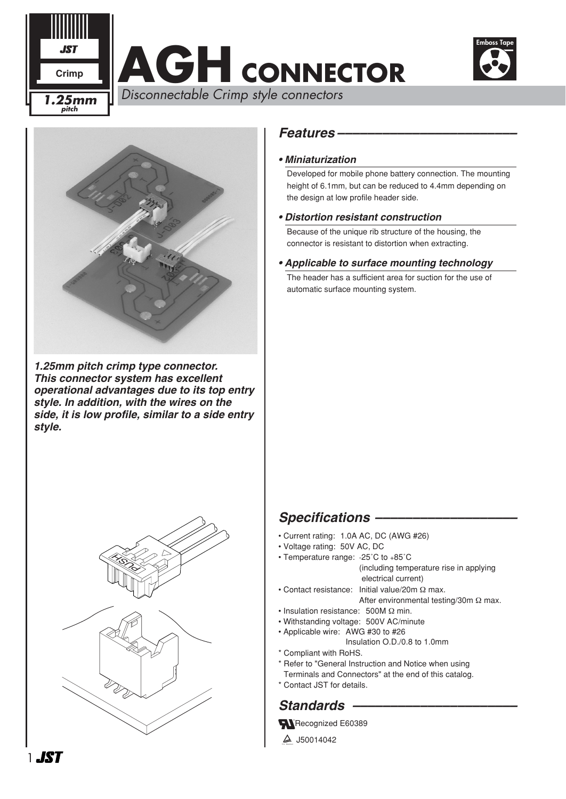

# **AGH CONNECTOR**



*1.25mm pitch crimp type connector. This connector system has excellent operational advantages due to its top entry style. In addition, with the wires on the side, it is low profile, similar to a side entry style.*



### *Features ––––––––––––––––––––––––*

#### *• Miniaturization*

Developed for mobile phone battery connection. The mounting height of 6.1mm, but can be reduced to 4.4mm depending on the design at low profile header side.

#### *• Distortion resistant construction*

Because of the unique rib structure of the housing, the connector is resistant to distortion when extracting.

#### *• Applicable to surface mounting technology*

The header has a sufficient area for suction for the use of automatic surface mounting system.

# *Specifications –––––––––––––––––––*

- Current rating: 1.0A AC, DC (AWG #26)
- Voltage rating: 50V AC, DC
- Temperature range: -25˚C to +85˚C (including temperature rise in applying electrical current)
- Contact resistance: Initial value/20m Ω max. After environmental testing/30m Ω max.
- Insulation resistance: 500M Ω min.
- Withstanding voltage: 500V AC/minute
- Applicable wire: AWG #30 to #26
	- Insulation O.D./0.8 to 1.0mm
- \* Compliant with RoHS.
- \* Refer to "General Instruction and Notice when using
- Terminals and Connectors" at the end of this catalog.
- \* Contact JST for details.

# Standards –

Recognized E60389

 $4$  J50014042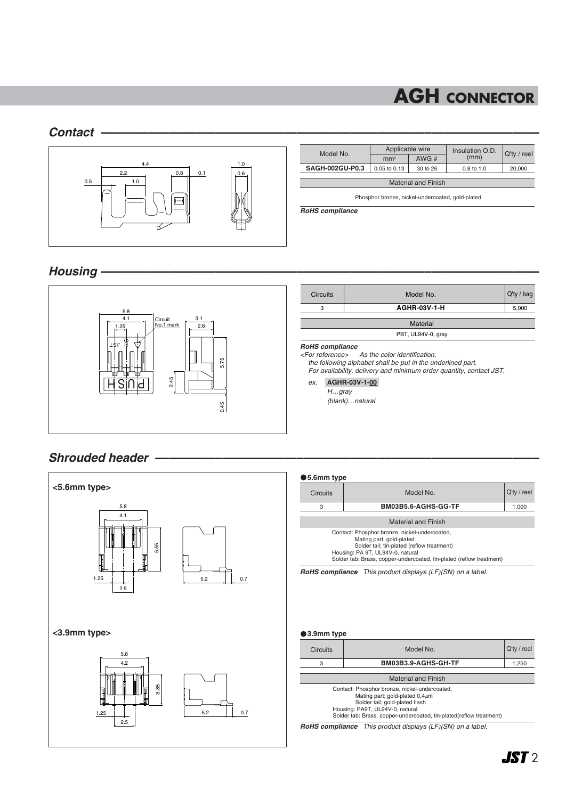# **AGH CONNECTOR**

#### *Contact –––––––––––––––––––––––––––––––––––––––––––––––––––––––––––––––––*



| Model No.                  | Applicable wire |          | Insulation O.D. |                |  |  |  |  |
|----------------------------|-----------------|----------|-----------------|----------------|--|--|--|--|
|                            | mm <sup>2</sup> | AWG#     | (mm)            | $Q'$ ty / reel |  |  |  |  |
| <b>SAGH-002GU-P0.3</b>     | 0.05 to 0.13    | 30 to 26 | $0.8$ to 1.0    | 20,000         |  |  |  |  |
| <b>Material and Finish</b> |                 |          |                 |                |  |  |  |  |

Phosphor bronze, nickel-undercoated, gold-plated

*RoHS compliance*

#### *Housing –––––––––––––––––––––––––––––––––––––––––––––––––––––––––––––––––*



#### *Shrouded header –––––––––––––––––––––––––––––––––––––––––––––––––––––––––*



#### **5.6mm type**

| סעותוווווייט.ט                                                                                                                                                                                                                      |                     |                |  |  |  |
|-------------------------------------------------------------------------------------------------------------------------------------------------------------------------------------------------------------------------------------|---------------------|----------------|--|--|--|
| <b>Circuits</b><br>Model No.                                                                                                                                                                                                        |                     | $Q'$ ty / reel |  |  |  |
| 3                                                                                                                                                                                                                                   | BM03B5.6-AGHS-GG-TF |                |  |  |  |
|                                                                                                                                                                                                                                     |                     |                |  |  |  |
| <b>Material and Finish</b>                                                                                                                                                                                                          |                     |                |  |  |  |
| Contact: Phosphor bronze, nickel-undercoated,<br>Mating part; gold-plated<br>Solder tail; tin-plated (reflow treatment)<br>Housing: PA 9T, UL94V-0, natural<br>Solder tab: Brass, copper-undercoated, tin-plated (reflow treatment) |                     |                |  |  |  |

*RoHS compliance This product displays (LF)(SN) on a label.*

#### **3.9mm type**

| <b>Circuits</b>                                                                                                                                            | Model No.           |  |  |  |
|------------------------------------------------------------------------------------------------------------------------------------------------------------|---------------------|--|--|--|
| 3                                                                                                                                                          | BM03B3.9-AGHS-GH-TF |  |  |  |
|                                                                                                                                                            |                     |  |  |  |
| <b>Material and Finish</b>                                                                                                                                 |                     |  |  |  |
| Contact: Phosphor bronze, nickel-undercoated,<br>Mating part; gold-plated $0.4 \mu m$<br>Solder tail; gold-plated flash<br>Housing: PA9T, UL94V-0, natural |                     |  |  |  |
| Solder tab: Brass, copper-undercoated, tin-plated(reflow treatment)                                                                                        |                     |  |  |  |

*RoHS compliance This product displays (LF)(SN) on a label.*